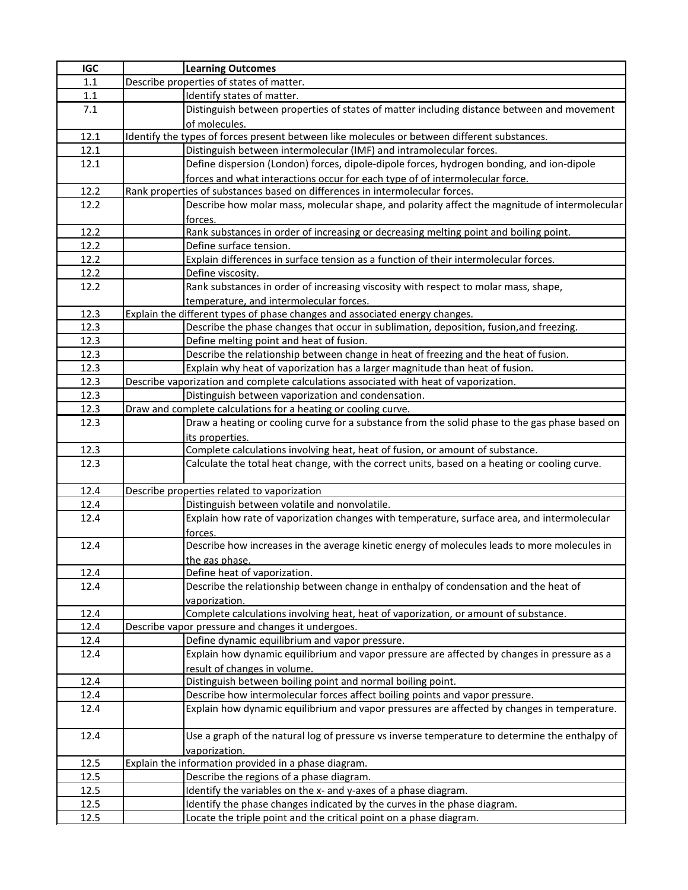| <b>IGC</b> | <b>Learning Outcomes</b>                                                                         |
|------------|--------------------------------------------------------------------------------------------------|
| 1.1        | Describe properties of states of matter.                                                         |
| $1.1\,$    | Identify states of matter.                                                                       |
| 7.1        | Distinguish between properties of states of matter including distance between and movement       |
|            | of molecules.                                                                                    |
| 12.1       | Identify the types of forces present between like molecules or between different substances.     |
| 12.1       | Distinguish between intermolecular (IMF) and intramolecular forces.                              |
| 12.1       | Define dispersion (London) forces, dipole-dipole forces, hydrogen bonding, and ion-dipole        |
|            | forces and what interactions occur for each type of of intermolecular force.                     |
| 12.2       | Rank properties of substances based on differences in intermolecular forces.                     |
| 12.2       | Describe how molar mass, molecular shape, and polarity affect the magnitude of intermolecular    |
|            | forces.                                                                                          |
| 12.2       | Rank substances in order of increasing or decreasing melting point and boiling point.            |
| 12.2       | Define surface tension.                                                                          |
| 12.2       | Explain differences in surface tension as a function of their intermolecular forces.             |
| 12.2       | Define viscosity.                                                                                |
| 12.2       | Rank substances in order of increasing viscosity with respect to molar mass, shape,              |
|            | temperature, and intermolecular forces.                                                          |
| 12.3       | Explain the different types of phase changes and associated energy changes.                      |
| 12.3       | Describe the phase changes that occur in sublimation, deposition, fusion, and freezing.          |
| 12.3       | Define melting point and heat of fusion.                                                         |
| 12.3       | Describe the relationship between change in heat of freezing and the heat of fusion.             |
| 12.3       | Explain why heat of vaporization has a larger magnitude than heat of fusion.                     |
| 12.3       | Describe vaporization and complete calculations associated with heat of vaporization.            |
| 12.3       | Distinguish between vaporization and condensation.                                               |
| 12.3       | Draw and complete calculations for a heating or cooling curve.                                   |
| 12.3       | Draw a heating or cooling curve for a substance from the solid phase to the gas phase based on   |
|            |                                                                                                  |
| 12.3       | its properties.<br>Complete calculations involving heat, heat of fusion, or amount of substance. |
| 12.3       | Calculate the total heat change, with the correct units, based on a heating or cooling curve.    |
|            |                                                                                                  |
| 12.4       | Describe properties related to vaporization                                                      |
| 12.4       | Distinguish between volatile and nonvolatile.                                                    |
| 12.4       | Explain how rate of vaporization changes with temperature, surface area, and intermolecular      |
|            | forces.                                                                                          |
| 12.4       | Describe how increases in the average kinetic energy of molecules leads to more molecules in     |
|            |                                                                                                  |
| 12.4       | the gas phase.<br>Define heat of vaporization.                                                   |
| 12.4       | Describe the relationship between change in enthalpy of condensation and the heat of             |
|            | vaporization.                                                                                    |
| 12.4       | Complete calculations involving heat, heat of vaporization, or amount of substance.              |
| 12.4       | Describe vapor pressure and changes it undergoes.                                                |
| 12.4       | Define dynamic equilibrium and vapor pressure.                                                   |
| 12.4       | Explain how dynamic equilibrium and vapor pressure are affected by changes in pressure as a      |
|            | result of changes in volume.                                                                     |
| 12.4       | Distinguish between boiling point and normal boiling point.                                      |
| 12.4       | Describe how intermolecular forces affect boiling points and vapor pressure.                     |
| 12.4       | Explain how dynamic equilibrium and vapor pressures are affected by changes in temperature.      |
|            |                                                                                                  |
| 12.4       | Use a graph of the natural log of pressure vs inverse temperature to determine the enthalpy of   |
|            |                                                                                                  |
| 12.5       | vaporization.<br>Explain the information provided in a phase diagram.                            |
| 12.5       | Describe the regions of a phase diagram.                                                         |
| 12.5       | Identify the variables on the x- and y-axes of a phase diagram.                                  |
|            |                                                                                                  |
| 12.5       | Identify the phase changes indicated by the curves in the phase diagram.                         |
| 12.5       | Locate the triple point and the critical point on a phase diagram.                               |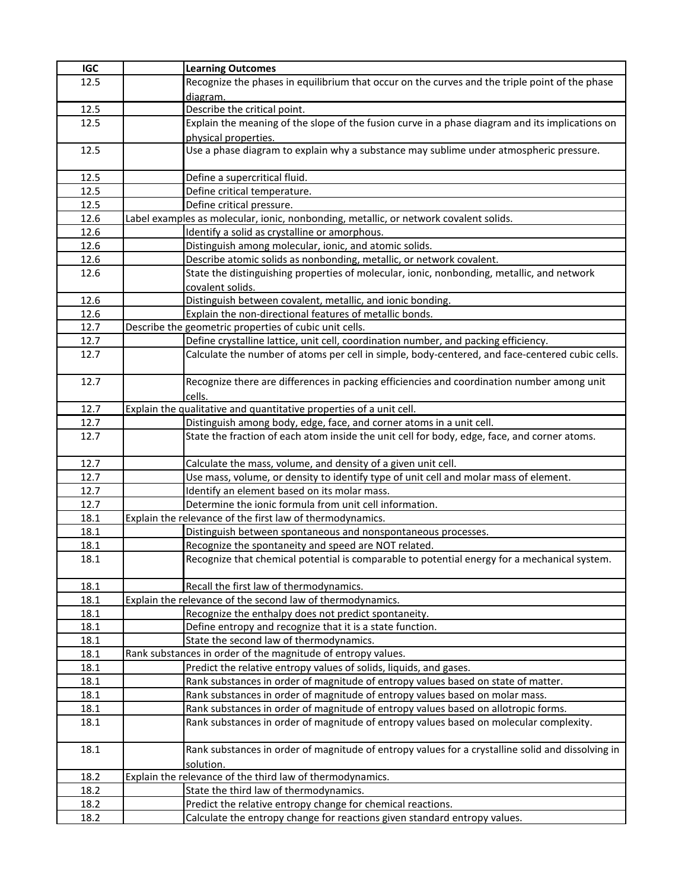| <b>IGC</b> | <b>Learning Outcomes</b>                                                                          |
|------------|---------------------------------------------------------------------------------------------------|
| 12.5       | Recognize the phases in equilibrium that occur on the curves and the triple point of the phase    |
|            | diagram.                                                                                          |
| 12.5       | Describe the critical point.                                                                      |
| 12.5       | Explain the meaning of the slope of the fusion curve in a phase diagram and its implications on   |
|            | physical properties.                                                                              |
| 12.5       | Use a phase diagram to explain why a substance may sublime under atmospheric pressure.            |
|            |                                                                                                   |
| 12.5       | Define a supercritical fluid.                                                                     |
| 12.5       | Define critical temperature.                                                                      |
| 12.5       | Define critical pressure.                                                                         |
| 12.6       | Label examples as molecular, ionic, nonbonding, metallic, or network covalent solids.             |
| 12.6       | Identify a solid as crystalline or amorphous.                                                     |
| 12.6       | Distinguish among molecular, ionic, and atomic solids.                                            |
| 12.6       | Describe atomic solids as nonbonding, metallic, or network covalent.                              |
| 12.6       | State the distinguishing properties of molecular, ionic, nonbonding, metallic, and network        |
| 12.6       | covalent solids.<br>Distinguish between covalent, metallic, and ionic bonding.                    |
| 12.6       | Explain the non-directional features of metallic bonds.                                           |
| 12.7       | Describe the geometric properties of cubic unit cells.                                            |
| 12.7       | Define crystalline lattice, unit cell, coordination number, and packing efficiency.               |
| 12.7       | Calculate the number of atoms per cell in simple, body-centered, and face-centered cubic cells.   |
|            |                                                                                                   |
| 12.7       | Recognize there are differences in packing efficiencies and coordination number among unit        |
|            | cells.                                                                                            |
| 12.7       | Explain the qualitative and quantitative properties of a unit cell.                               |
| 12.7       | Distinguish among body, edge, face, and corner atoms in a unit cell.                              |
| 12.7       | State the fraction of each atom inside the unit cell for body, edge, face, and corner atoms.      |
|            |                                                                                                   |
| 12.7       | Calculate the mass, volume, and density of a given unit cell.                                     |
| 12.7       | Use mass, volume, or density to identify type of unit cell and molar mass of element.             |
| 12.7       | Identify an element based on its molar mass.                                                      |
| 12.7       | Determine the ionic formula from unit cell information.                                           |
| 18.1       | Explain the relevance of the first law of thermodynamics.                                         |
| 18.1       | Distinguish between spontaneous and nonspontaneous processes.                                     |
| 18.1       | Recognize the spontaneity and speed are NOT related.                                              |
| 18.1       | Recognize that chemical potential is comparable to potential energy for a mechanical system.      |
| 18.1       | Recall the first law of thermodynamics.                                                           |
| 18.1       | Explain the relevance of the second law of thermodynamics.                                        |
| 18.1       | Recognize the enthalpy does not predict spontaneity.                                              |
| 18.1       | Define entropy and recognize that it is a state function.                                         |
| 18.1       | State the second law of thermodynamics.                                                           |
| 18.1       | Rank substances in order of the magnitude of entropy values.                                      |
| 18.1       | Predict the relative entropy values of solids, liquids, and gases.                                |
| 18.1       | Rank substances in order of magnitude of entropy values based on state of matter.                 |
| 18.1       | Rank substances in order of magnitude of entropy values based on molar mass.                      |
| 18.1       | Rank substances in order of magnitude of entropy values based on allotropic forms.                |
| 18.1       | Rank substances in order of magnitude of entropy values based on molecular complexity.            |
|            |                                                                                                   |
| 18.1       | Rank substances in order of magnitude of entropy values for a crystalline solid and dissolving in |
|            | solution.                                                                                         |
| 18.2       | Explain the relevance of the third law of thermodynamics.                                         |
| 18.2       | State the third law of thermodynamics.                                                            |
| 18.2       | Predict the relative entropy change for chemical reactions.                                       |
| 18.2       | Calculate the entropy change for reactions given standard entropy values.                         |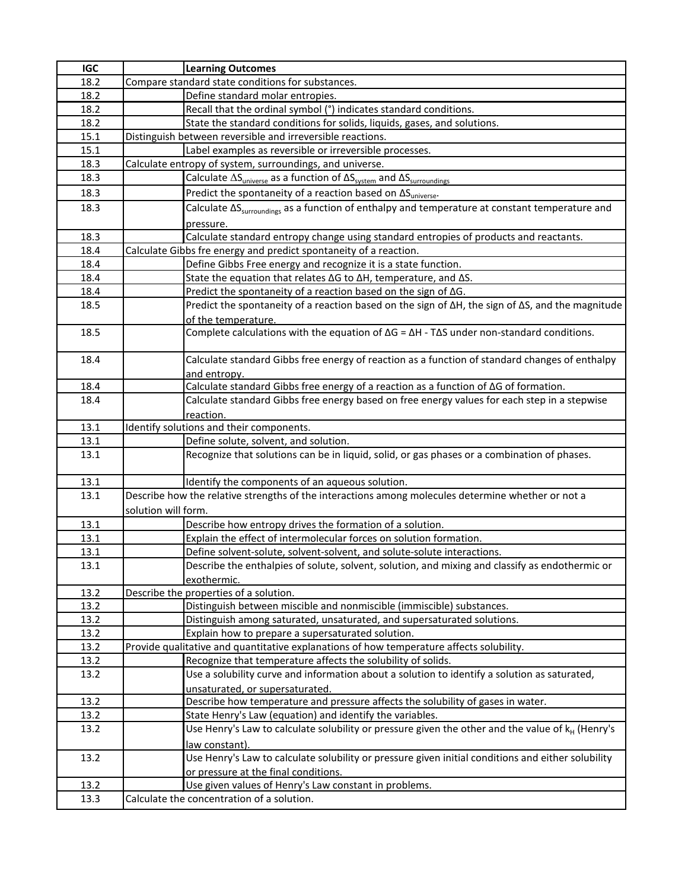| <b>IGC</b> | <b>Learning Outcomes</b>                                                                                                |
|------------|-------------------------------------------------------------------------------------------------------------------------|
| 18.2       | Compare standard state conditions for substances.                                                                       |
| 18.2       | Define standard molar entropies.                                                                                        |
| 18.2       | Recall that the ordinal symbol (°) indicates standard conditions.                                                       |
| 18.2       | State the standard conditions for solids, liquids, gases, and solutions.                                                |
| 15.1       | Distinguish between reversible and irreversible reactions.                                                              |
| 15.1       | Label examples as reversible or irreversible processes.                                                                 |
| 18.3       | Calculate entropy of system, surroundings, and universe.                                                                |
| 18.3       | Calculate $\Delta S_{\text{universe}}$ as a function of $\Delta S_{\text{system}}$ and $\Delta S_{\text{surroundings}}$ |
| 18.3       | Predict the spontaneity of a reaction based on $\Delta S_{\text{universe}}$ .                                           |
| 18.3       | Calculate $\Delta S_{\text{surroundings}}$ as a function of enthalpy and temperature at constant temperature and        |
|            | pressure.                                                                                                               |
| 18.3       | Calculate standard entropy change using standard entropies of products and reactants.                                   |
| 18.4       | Calculate Gibbs fre energy and predict spontaneity of a reaction.                                                       |
| 18.4       | Define Gibbs Free energy and recognize it is a state function.                                                          |
| 18.4       | State the equation that relates $\Delta G$ to $\Delta H$ , temperature, and $\Delta S$ .                                |
| 18.4       | Predict the spontaneity of a reaction based on the sign of ∆G.                                                          |
| 18.5       | Predict the spontaneity of a reaction based on the sign of $\Delta H$ , the sign of $\Delta S$ , and the magnitude      |
|            | of the temperature.                                                                                                     |
| 18.5       | Complete calculations with the equation of $\Delta G = \Delta H - T \Delta S$ under non-standard conditions.            |
|            |                                                                                                                         |
| 18.4       | Calculate standard Gibbs free energy of reaction as a function of standard changes of enthalpy                          |
|            | and entropy.                                                                                                            |
| 18.4       | Calculate standard Gibbs free energy of a reaction as a function of AG of formation.                                    |
| 18.4       | Calculate standard Gibbs free energy based on free energy values for each step in a stepwise                            |
|            | reaction.                                                                                                               |
| 13.1       | Identify solutions and their components.                                                                                |
| 13.1       | Define solute, solvent, and solution.                                                                                   |
| 13.1       | Recognize that solutions can be in liquid, solid, or gas phases or a combination of phases.                             |
|            |                                                                                                                         |
| 13.1       | Identify the components of an aqueous solution.                                                                         |
| 13.1       | Describe how the relative strengths of the interactions among molecules determine whether or not a                      |
|            | solution will form.                                                                                                     |
| 13.1       | Describe how entropy drives the formation of a solution.                                                                |
| 13.1       | Explain the effect of intermolecular forces on solution formation.                                                      |
| 13.1       | Define solvent-solute, solvent-solvent, and solute-solute interactions.                                                 |
| 13.1       | Describe the enthalpies of solute, solvent, solution, and mixing and classify as endothermic or                         |
|            | exothermic.                                                                                                             |
| 13.2       | Describe the properties of a solution.                                                                                  |
| 13.2       | Distinguish between miscible and nonmiscible (immiscible) substances.                                                   |
| 13.2       | Distinguish among saturated, unsaturated, and supersaturated solutions.                                                 |
| 13.2       | Explain how to prepare a supersaturated solution.                                                                       |
| 13.2       | Provide qualitative and quantitative explanations of how temperature affects solubility.                                |
| 13.2       | Recognize that temperature affects the solubility of solids.                                                            |
| 13.2       | Use a solubility curve and information about a solution to identify a solution as saturated,                            |
|            | unsaturated, or supersaturated.                                                                                         |
| 13.2       | Describe how temperature and pressure affects the solubility of gases in water.                                         |
| 13.2       | State Henry's Law (equation) and identify the variables.                                                                |
| 13.2       | Use Henry's Law to calculate solubility or pressure given the other and the value of k <sub>H</sub> (Henry's            |
|            | law constant).                                                                                                          |
| 13.2       | Use Henry's Law to calculate solubility or pressure given initial conditions and either solubility                      |
|            | or pressure at the final conditions.                                                                                    |
| 13.2       | Use given values of Henry's Law constant in problems.                                                                   |
| 13.3       | Calculate the concentration of a solution.                                                                              |
|            |                                                                                                                         |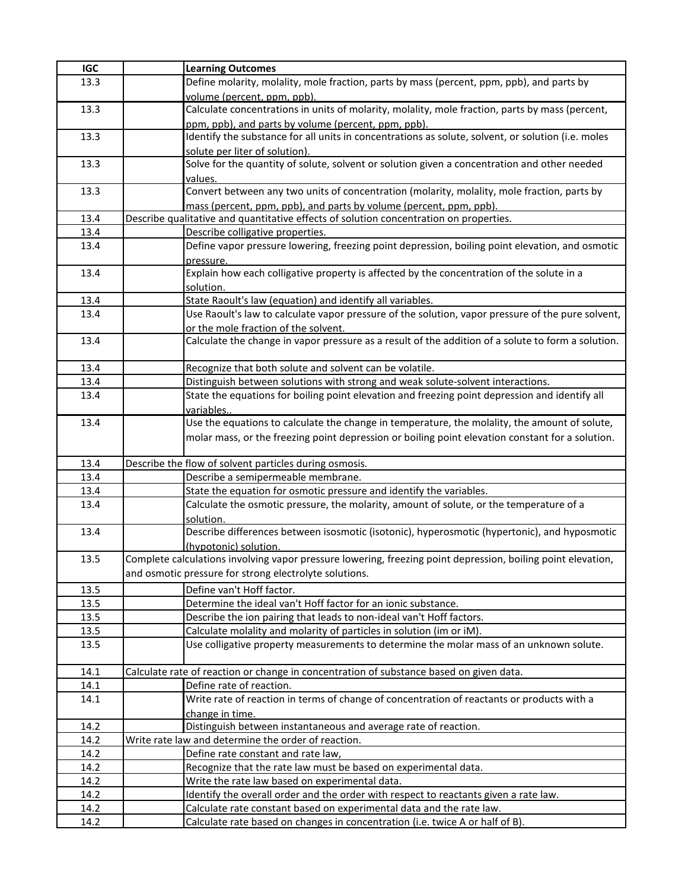| <b>IGC</b> | <b>Learning Outcomes</b>                                                                                     |
|------------|--------------------------------------------------------------------------------------------------------------|
| 13.3       | Define molarity, molality, mole fraction, parts by mass (percent, ppm, ppb), and parts by                    |
|            | volume (percent, ppm, ppb).                                                                                  |
| 13.3       | Calculate concentrations in units of molarity, molality, mole fraction, parts by mass (percent,              |
|            | ppm, ppb), and parts by volume (percent, ppm, ppb).                                                          |
| 13.3       | Identify the substance for all units in concentrations as solute, solvent, or solution (i.e. moles           |
|            | solute per liter of solution).                                                                               |
| 13.3       | Solve for the quantity of solute, solvent or solution given a concentration and other needed                 |
|            | values.                                                                                                      |
| 13.3       | Convert between any two units of concentration (molarity, molality, mole fraction, parts by                  |
|            | mass (percent, ppm, ppb), and parts by volume (percent, ppm, ppb).                                           |
| 13.4       | Describe qualitative and quantitative effects of solution concentration on properties.                       |
| 13.4       | Describe colligative properties.                                                                             |
| 13.4       | Define vapor pressure lowering, freezing point depression, boiling point elevation, and osmotic              |
|            | pressure.                                                                                                    |
| 13.4       | Explain how each colligative property is affected by the concentration of the solute in a                    |
|            | solution.                                                                                                    |
| 13.4       | State Raoult's law (equation) and identify all variables.                                                    |
| 13.4       | Use Raoult's law to calculate vapor pressure of the solution, vapor pressure of the pure solvent,            |
|            | or the mole fraction of the solvent.                                                                         |
| 13.4       | Calculate the change in vapor pressure as a result of the addition of a solute to form a solution.           |
|            |                                                                                                              |
| 13.4       | Recognize that both solute and solvent can be volatile.                                                      |
| 13.4       | Distinguish between solutions with strong and weak solute-solvent interactions.                              |
| 13.4       | State the equations for boiling point elevation and freezing point depression and identify all               |
|            | variables                                                                                                    |
| 13.4       | Use the equations to calculate the change in temperature, the molality, the amount of solute,                |
|            | molar mass, or the freezing point depression or boiling point elevation constant for a solution.             |
|            |                                                                                                              |
| 13.4       | Describe the flow of solvent particles during osmosis.                                                       |
| 13.4       | Describe a semipermeable membrane.                                                                           |
| 13.4       | State the equation for osmotic pressure and identify the variables.                                          |
| 13.4       | Calculate the osmotic pressure, the molarity, amount of solute, or the temperature of a                      |
|            | solution.                                                                                                    |
| 13.4       | Describe differences between isosmotic (isotonic), hyperosmotic (hypertonic), and hyposmotic                 |
|            | (hypotonic) solution.                                                                                        |
| 13.5       | Complete calculations involving vapor pressure lowering, freezing point depression, boiling point elevation, |
|            | and osmotic pressure for strong electrolyte solutions.                                                       |
| 13.5       | Define van't Hoff factor.                                                                                    |
| 13.5       | Determine the ideal van't Hoff factor for an ionic substance.                                                |
| 13.5       | Describe the ion pairing that leads to non-ideal van't Hoff factors.                                         |
| 13.5       | Calculate molality and molarity of particles in solution (im or iM).                                         |
| 13.5       | Use colligative property measurements to determine the molar mass of an unknown solute.                      |
|            |                                                                                                              |
| 14.1       | Calculate rate of reaction or change in concentration of substance based on given data.                      |
| 14.1       | Define rate of reaction.                                                                                     |
| 14.1       | Write rate of reaction in terms of change of concentration of reactants or products with a                   |
|            | change in time.                                                                                              |
| 14.2       | Distinguish between instantaneous and average rate of reaction.                                              |
| 14.2       | Write rate law and determine the order of reaction.                                                          |
| 14.2       | Define rate constant and rate law,                                                                           |
| 14.2       | Recognize that the rate law must be based on experimental data.                                              |
| 14.2       | Write the rate law based on experimental data.                                                               |
| 14.2       | Identify the overall order and the order with respect to reactants given a rate law.                         |
| 14.2       | Calculate rate constant based on experimental data and the rate law.                                         |
| 14.2       | Calculate rate based on changes in concentration (i.e. twice A or half of B).                                |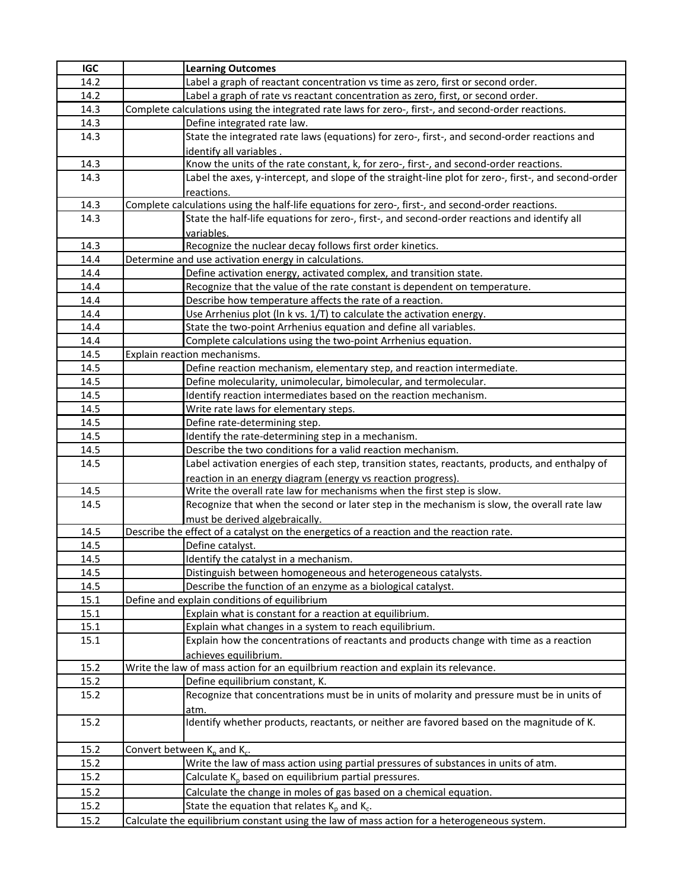| <b>IGC</b> | <b>Learning Outcomes</b>                                                                             |
|------------|------------------------------------------------------------------------------------------------------|
| 14.2       | Label a graph of reactant concentration vs time as zero, first or second order.                      |
| 14.2       | Label a graph of rate vs reactant concentration as zero, first, or second order.                     |
| 14.3       | Complete calculations using the integrated rate laws for zero-, first-, and second-order reactions.  |
| 14.3       | Define integrated rate law.                                                                          |
| 14.3       | State the integrated rate laws (equations) for zero-, first-, and second-order reactions and         |
|            | identify all variables.                                                                              |
| 14.3       | Know the units of the rate constant, k, for zero-, first-, and second-order reactions.               |
| 14.3       | Label the axes, y-intercept, and slope of the straight-line plot for zero-, first-, and second-order |
|            | reactions.                                                                                           |
| 14.3       | Complete calculations using the half-life equations for zero-, first-, and second-order reactions.   |
| 14.3       | State the half-life equations for zero-, first-, and second-order reactions and identify all         |
|            | variables.                                                                                           |
| 14.3       | Recognize the nuclear decay follows first order kinetics.                                            |
| 14.4       | Determine and use activation energy in calculations.                                                 |
| 14.4       | Define activation energy, activated complex, and transition state.                                   |
| 14.4       | Recognize that the value of the rate constant is dependent on temperature.                           |
| 14.4       | Describe how temperature affects the rate of a reaction.                                             |
| 14.4       | Use Arrhenius plot (In k vs. 1/T) to calculate the activation energy.                                |
| 14.4       | State the two-point Arrhenius equation and define all variables.                                     |
| 14.4       | Complete calculations using the two-point Arrhenius equation.                                        |
| 14.5       | Explain reaction mechanisms.                                                                         |
| 14.5       | Define reaction mechanism, elementary step, and reaction intermediate.                               |
| 14.5       | Define molecularity, unimolecular, bimolecular, and termolecular.                                    |
| 14.5       | Identify reaction intermediates based on the reaction mechanism.                                     |
| 14.5       | Write rate laws for elementary steps.                                                                |
| 14.5       | Define rate-determining step.                                                                        |
| 14.5       | Identify the rate-determining step in a mechanism.                                                   |
| 14.5       | Describe the two conditions for a valid reaction mechanism.                                          |
| 14.5       | Label activation energies of each step, transition states, reactants, products, and enthalpy of      |
|            | reaction in an energy diagram (energy vs reaction progress).                                         |
| 14.5       | Write the overall rate law for mechanisms when the first step is slow.                               |
| 14.5       | Recognize that when the second or later step in the mechanism is slow, the overall rate law          |
|            | must be derived algebraically.                                                                       |
| 14.5       | Describe the effect of a catalyst on the energetics of a reaction and the reaction rate.             |
| 14.5       | Define catalyst.                                                                                     |
| 14.5       | Identify the catalyst in a mechanism.                                                                |
| 14.5       | Distinguish between homogeneous and heterogeneous catalysts.                                         |
| 14.5       | Describe the function of an enzyme as a biological catalyst.                                         |
| 15.1       | Define and explain conditions of equilibrium                                                         |
| 15.1       | Explain what is constant for a reaction at equilibrium.                                              |
| 15.1       | Explain what changes in a system to reach equilibrium.                                               |
| 15.1       | Explain how the concentrations of reactants and products change with time as a reaction              |
|            | achieves equilibrium.                                                                                |
| 15.2       | Write the law of mass action for an equilbrium reaction and explain its relevance.                   |
| 15.2       | Define equilibrium constant, K.                                                                      |
| 15.2       | Recognize that concentrations must be in units of molarity and pressure must be in units of          |
|            | atm.                                                                                                 |
| 15.2       | Identify whether products, reactants, or neither are favored based on the magnitude of K.            |
|            |                                                                                                      |
| 15.2       | Convert between $K_p$ and $K_c$ .                                                                    |
| 15.2       | Write the law of mass action using partial pressures of substances in units of atm.                  |
| 15.2       | Calculate $K_p$ based on equilibrium partial pressures.                                              |
| 15.2       | Calculate the change in moles of gas based on a chemical equation.                                   |
| 15.2       | State the equation that relates $K_p$ and $K_c$ .                                                    |
| 15.2       | Calculate the equilibrium constant using the law of mass action for a heterogeneous system.          |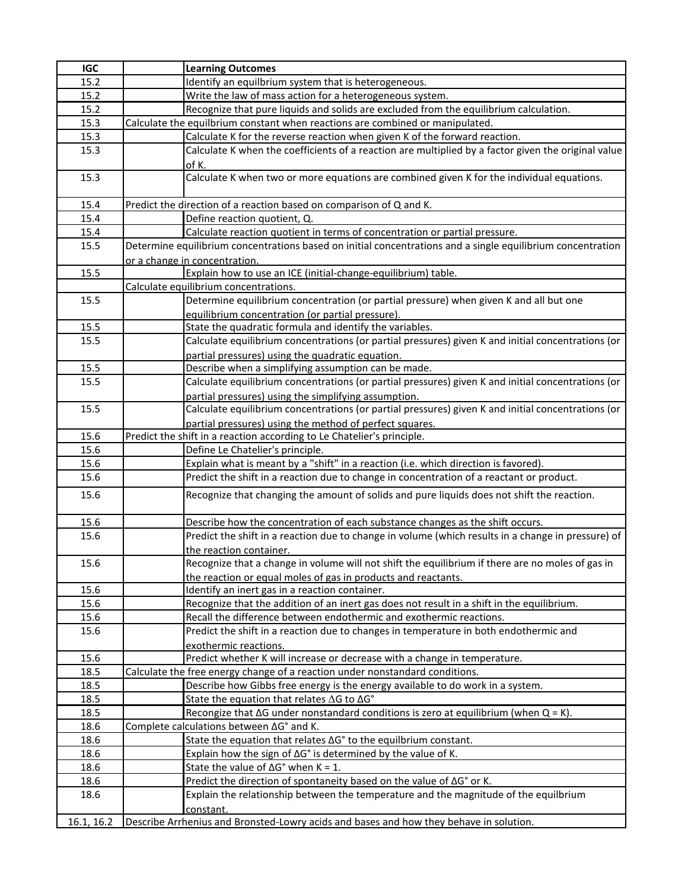| <b>IGC</b> | <b>Learning Outcomes</b>                                                                                    |
|------------|-------------------------------------------------------------------------------------------------------------|
| 15.2       | Identify an equilbrium system that is heterogeneous.                                                        |
| 15.2       | Write the law of mass action for a heterogeneous system.                                                    |
| 15.2       | Recognize that pure liquids and solids are excluded from the equilibrium calculation.                       |
| 15.3       | Calculate the equilbrium constant when reactions are combined or manipulated.                               |
| 15.3       | Calculate K for the reverse reaction when given K of the forward reaction.                                  |
| 15.3       | Calculate K when the coefficients of a reaction are multiplied by a factor given the original value         |
|            | of K.                                                                                                       |
| 15.3       | Calculate K when two or more equations are combined given K for the individual equations.                   |
|            |                                                                                                             |
| 15.4       | Predict the direction of a reaction based on comparison of Q and K.                                         |
| 15.4       | Define reaction quotient, Q.                                                                                |
| 15.4       | Calculate reaction quotient in terms of concentration or partial pressure.                                  |
| 15.5       | Determine equilibrium concentrations based on initial concentrations and a single equilibrium concentration |
|            | or a change in concentration.                                                                               |
| 15.5       | Explain how to use an ICE (initial-change-equilibrium) table.                                               |
|            | Calculate equilibrium concentrations.                                                                       |
| 15.5       | Determine equilibrium concentration (or partial pressure) when given K and all but one                      |
|            | equilibrium concentration (or partial pressure).                                                            |
| 15.5       | State the quadratic formula and identify the variables.                                                     |
| 15.5       | Calculate equilibrium concentrations (or partial pressures) given K and initial concentrations (or          |
|            | partial pressures) using the quadratic equation.                                                            |
| 15.5       | Describe when a simplifying assumption can be made.                                                         |
| 15.5       | Calculate equilibrium concentrations (or partial pressures) given K and initial concentrations (or          |
|            | partial pressures) using the simplifying assumption.                                                        |
| 15.5       | Calculate equilibrium concentrations (or partial pressures) given K and initial concentrations (or          |
|            | partial pressures) using the method of perfect squares.                                                     |
| 15.6       | Predict the shift in a reaction according to Le Chatelier's principle.                                      |
| 15.6       | Define Le Chatelier's principle.                                                                            |
| 15.6       | Explain what is meant by a "shift" in a reaction (i.e. which direction is favored).                         |
| 15.6       | Predict the shift in a reaction due to change in concentration of a reactant or product.                    |
| 15.6       | Recognize that changing the amount of solids and pure liquids does not shift the reaction.                  |
| 15.6       | Describe how the concentration of each substance changes as the shift occurs.                               |
| 15.6       | Predict the shift in a reaction due to change in volume (which results in a change in pressure) of          |
|            | the reaction container.                                                                                     |
| 15.6       | Recognize that a change in volume will not shift the equilibrium if there are no moles of gas in            |
|            | the reaction or equal moles of gas in products and reactants.                                               |
| 15.6       | Identify an inert gas in a reaction container.                                                              |
| 15.6       | Recognize that the addition of an inert gas does not result in a shift in the equilibrium.                  |
| 15.6       | Recall the difference between endothermic and exothermic reactions.                                         |
| 15.6       | Predict the shift in a reaction due to changes in temperature in both endothermic and                       |
|            | exothermic reactions.                                                                                       |
| 15.6       | Predict whether K will increase or decrease with a change in temperature.                                   |
| 18.5       | Calculate the free energy change of a reaction under nonstandard conditions.                                |
| 18.5       | Describe how Gibbs free energy is the energy available to do work in a system.                              |
| 18.5       | State the equation that relates $\Delta G$ to $\Delta G^{\circ}$                                            |
| 18.5       | Recongize that $\Delta G$ under nonstandard conditions is zero at equilibrium (when $Q = K$ ).              |
| 18.6       | Complete calculations between AG° and K.                                                                    |
| 18.6       | State the equation that relates ∆G° to the equilbrium constant.                                             |
| 18.6       | Explain how the sign of $\Delta G^{\circ}$ is determined by the value of K.                                 |
| 18.6       | State the value of $\Delta G^{\circ}$ when K = 1.                                                           |
| 18.6       | Predict the direction of spontaneity based on the value of ∆G° or K.                                        |
| 18.6       | Explain the relationship between the temperature and the magnitude of the equilbrium<br>constant.           |
| 16.1, 16.2 | Describe Arrhenius and Bronsted-Lowry acids and bases and how they behave in solution.                      |
|            |                                                                                                             |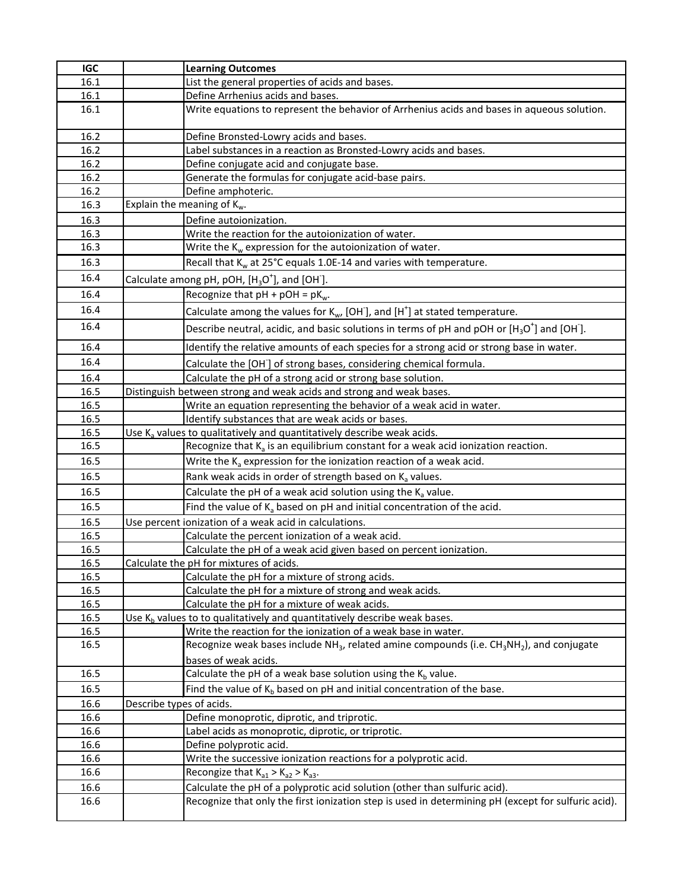| <b>IGC</b> |                          | <b>Learning Outcomes</b>                                                                                                      |
|------------|--------------------------|-------------------------------------------------------------------------------------------------------------------------------|
| 16.1       |                          | List the general properties of acids and bases.                                                                               |
| 16.1       |                          | Define Arrhenius acids and bases.                                                                                             |
| 16.1       |                          | Write equations to represent the behavior of Arrhenius acids and bases in aqueous solution.                                   |
| 16.2       |                          | Define Bronsted-Lowry acids and bases.                                                                                        |
| 16.2       |                          | Label substances in a reaction as Bronsted-Lowry acids and bases.                                                             |
| 16.2       |                          | Define conjugate acid and conjugate base.                                                                                     |
| 16.2       |                          | Generate the formulas for conjugate acid-base pairs.                                                                          |
| 16.2       |                          | Define amphoteric.                                                                                                            |
| 16.3       |                          | Explain the meaning of $K_w$ .                                                                                                |
| 16.3       |                          | Define autoionization.                                                                                                        |
| 16.3       |                          | Write the reaction for the autoionization of water.                                                                           |
| 16.3       |                          | Write the K <sub>w</sub> expression for the autoionization of water.                                                          |
| 16.3       |                          | Recall that K <sub>w</sub> at 25°C equals 1.0E-14 and varies with temperature.                                                |
| 16.4       |                          | Calculate among pH, pOH, $[H_3O^+]$ , and [OH].                                                                               |
| 16.4       |                          | Recognize that $pH + pOH = pK_w$ .                                                                                            |
| 16.4       |                          | Calculate among the values for $K_{w}$ , [OH <sup>-</sup> ], and [H <sup>+</sup> ] at stated temperature.                     |
| 16.4       |                          | Describe neutral, acidic, and basic solutions in terms of pH and pOH or $[H_3O^+]$ and [OH].                                  |
| 16.4       |                          | Identify the relative amounts of each species for a strong acid or strong base in water.                                      |
| 16.4       |                          | Calculate the [OH] of strong bases, considering chemical formula.                                                             |
| 16.4       |                          | Calculate the pH of a strong acid or strong base solution.                                                                    |
| 16.5       |                          | Distinguish between strong and weak acids and strong and weak bases.                                                          |
| 16.5       |                          | Write an equation representing the behavior of a weak acid in water.                                                          |
| 16.5       |                          | Identify substances that are weak acids or bases.                                                                             |
| 16.5       |                          | Use K <sub>a</sub> values to qualitatively and quantitatively describe weak acids.                                            |
| 16.5       |                          | Recognize that $K_a$ is an equilibrium constant for a weak acid ionization reaction.                                          |
| 16.5       |                          | Write the K <sub>a</sub> expression for the ionization reaction of a weak acid.                                               |
| 16.5       |                          | Rank weak acids in order of strength based on $Ka$ values.                                                                    |
| 16.5       |                          | Calculate the pH of a weak acid solution using the $K_a$ value.                                                               |
| 16.5       |                          | Find the value of $K_a$ based on pH and initial concentration of the acid.                                                    |
| 16.5       |                          | Use percent ionization of a weak acid in calculations.                                                                        |
| 16.5       |                          | Calculate the percent ionization of a weak acid.                                                                              |
| 16.5       |                          | Calculate the pH of a weak acid given based on percent ionization.                                                            |
| 16.5       |                          | Calculate the pH for mixtures of acids.                                                                                       |
| 16.5       |                          | Calculate the pH for a mixture of strong acids.                                                                               |
| 16.5       |                          | Calculate the pH for a mixture of strong and weak acids.                                                                      |
| 16.5       |                          | Calculate the pH for a mixture of weak acids.                                                                                 |
| 16.5       |                          | Use K <sub>b</sub> values to to qualitatively and quantitatively describe weak bases.                                         |
| 16.5       |                          | Write the reaction for the ionization of a weak base in water.                                                                |
| 16.5       |                          | Recognize weak bases include NH <sub>3</sub> , related amine compounds (i.e. CH <sub>3</sub> NH <sub>2</sub> ), and conjugate |
| 16.5       |                          | bases of weak acids.<br>Calculate the pH of a weak base solution using the $K_b$ value.                                       |
| 16.5       |                          | Find the value of $K_b$ based on pH and initial concentration of the base.                                                    |
| 16.6       | Describe types of acids. |                                                                                                                               |
| 16.6       |                          | Define monoprotic, diprotic, and triprotic.                                                                                   |
| 16.6       |                          | Label acids as monoprotic, diprotic, or triprotic.                                                                            |
| 16.6       |                          | Define polyprotic acid.                                                                                                       |
| 16.6       |                          | Write the successive ionization reactions for a polyprotic acid.                                                              |
| 16.6       |                          | Recongize that $K_{a1} > K_{a2} > K_{a3}$ .                                                                                   |
| 16.6       |                          | Calculate the pH of a polyprotic acid solution (other than sulfuric acid).                                                    |
| 16.6       |                          | Recognize that only the first ionization step is used in determining pH (except for sulfuric acid).                           |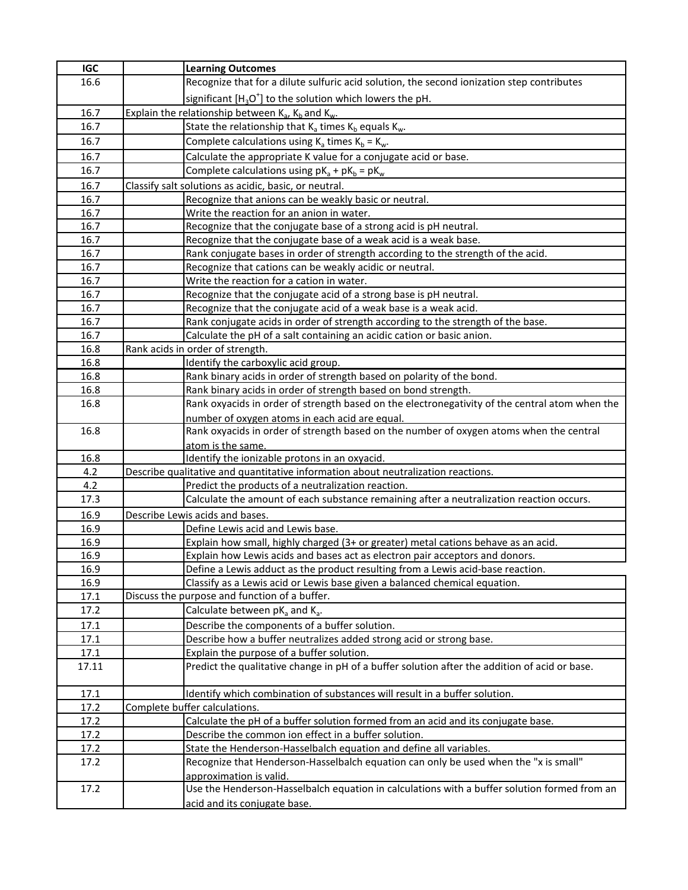| <b>IGC</b>   | <b>Learning Outcomes</b>                                                                                                                                   |
|--------------|------------------------------------------------------------------------------------------------------------------------------------------------------------|
| 16.6         | Recognize that for a dilute sulfuric acid solution, the second ionization step contributes                                                                 |
|              | significant $[H_3O^+]$ to the solution which lowers the pH.                                                                                                |
| 16.7         | Explain the relationship between $K_{a}$ , $K_{b}$ and $K_{w}$ .                                                                                           |
| 16.7         | State the relationship that K <sub>a</sub> times K <sub>b</sub> equals K <sub>w</sub> .                                                                    |
| 16.7         | Complete calculations using $K_a$ times $K_b = K_w$ .                                                                                                      |
| 16.7         | Calculate the appropriate K value for a conjugate acid or base.                                                                                            |
| 16.7         | Complete calculations using $pK_a + pK_b = pK_w$                                                                                                           |
|              |                                                                                                                                                            |
| 16.7         | Classify salt solutions as acidic, basic, or neutral.                                                                                                      |
| 16.7         | Recognize that anions can be weakly basic or neutral.                                                                                                      |
| 16.7         | Write the reaction for an anion in water.                                                                                                                  |
| 16.7<br>16.7 | Recognize that the conjugate base of a strong acid is pH neutral.                                                                                          |
| 16.7         | Recognize that the conjugate base of a weak acid is a weak base.                                                                                           |
| 16.7         | Rank conjugate bases in order of strength according to the strength of the acid.                                                                           |
|              | Recognize that cations can be weakly acidic or neutral.<br>Write the reaction for a cation in water.                                                       |
| 16.7<br>16.7 |                                                                                                                                                            |
| 16.7         | Recognize that the conjugate acid of a strong base is pH neutral.<br>Recognize that the conjugate acid of a weak base is a weak acid.                      |
| 16.7         |                                                                                                                                                            |
| 16.7         | Rank conjugate acids in order of strength according to the strength of the base.<br>Calculate the pH of a salt containing an acidic cation or basic anion. |
| 16.8         | Rank acids in order of strength.                                                                                                                           |
| 16.8         | Identify the carboxylic acid group.                                                                                                                        |
| 16.8         | Rank binary acids in order of strength based on polarity of the bond.                                                                                      |
| 16.8         | Rank binary acids in order of strength based on bond strength.                                                                                             |
| 16.8         | Rank oxyacids in order of strength based on the electronegativity of the central atom when the                                                             |
|              | number of oxygen atoms in each acid are equal.                                                                                                             |
| 16.8         | Rank oxyacids in order of strength based on the number of oxygen atoms when the central                                                                    |
|              | atom is the same.                                                                                                                                          |
| 16.8         | Identify the ionizable protons in an oxyacid.                                                                                                              |
| 4.2          | Describe qualitative and quantitative information about neutralization reactions.                                                                          |
| 4.2          | Predict the products of a neutralization reaction.                                                                                                         |
| 17.3         | Calculate the amount of each substance remaining after a neutralization reaction occurs.                                                                   |
| 16.9         | Describe Lewis acids and bases.                                                                                                                            |
| 16.9         | Define Lewis acid and Lewis base.                                                                                                                          |
| 16.9         | Explain how small, highly charged (3+ or greater) metal cations behave as an acid.                                                                         |
| 16.9         | Explain how Lewis acids and bases act as electron pair acceptors and donors.                                                                               |
| 16.9         | Define a Lewis adduct as the product resulting from a Lewis acid-base reaction.                                                                            |
| 16.9         | Classify as a Lewis acid or Lewis base given a balanced chemical equation.                                                                                 |
| 17.1         | Discuss the purpose and function of a buffer.                                                                                                              |
| 17.2         | Calculate between $pK_a$ and $K_a$ .                                                                                                                       |
| 17.1         | Describe the components of a buffer solution.                                                                                                              |
| 17.1         | Describe how a buffer neutralizes added strong acid or strong base.                                                                                        |
| 17.1         | Explain the purpose of a buffer solution.                                                                                                                  |
| 17.11        | Predict the qualitative change in pH of a buffer solution after the addition of acid or base.                                                              |
|              |                                                                                                                                                            |
| 17.1         | Identify which combination of substances will result in a buffer solution.                                                                                 |
| 17.2         | Complete buffer calculations.                                                                                                                              |
| 17.2         | Calculate the pH of a buffer solution formed from an acid and its conjugate base.                                                                          |
| 17.2         | Describe the common ion effect in a buffer solution.                                                                                                       |
| 17.2         | State the Henderson-Hasselbalch equation and define all variables.                                                                                         |
| 17.2         | Recognize that Henderson-Hasselbalch equation can only be used when the "x is small"                                                                       |
|              | approximation is valid.                                                                                                                                    |
| 17.2         | Use the Henderson-Hasselbalch equation in calculations with a buffer solution formed from an                                                               |
|              | acid and its conjugate base.                                                                                                                               |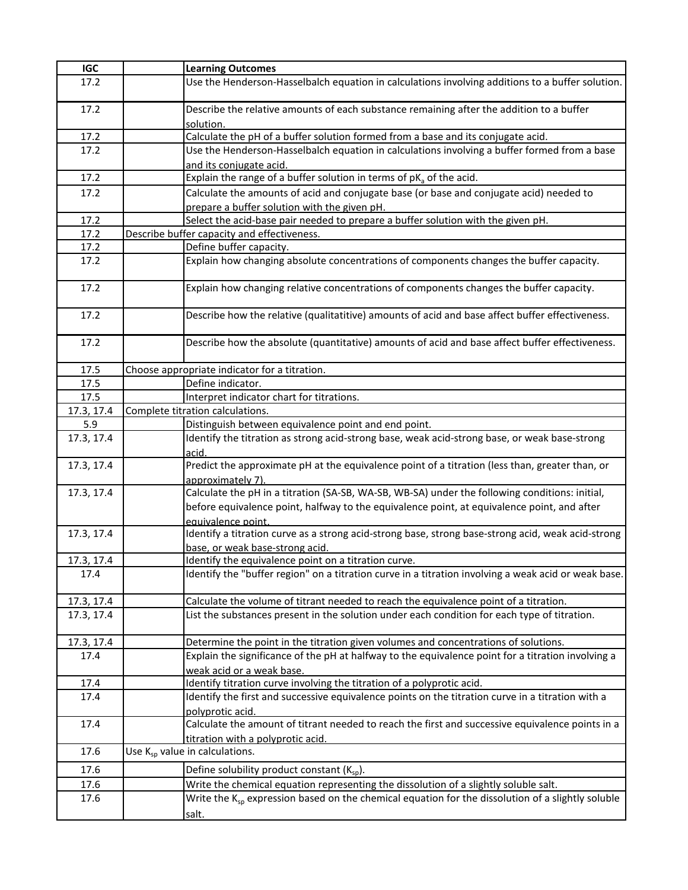| <b>IGC</b> | <b>Learning Outcomes</b>                                                                                                              |
|------------|---------------------------------------------------------------------------------------------------------------------------------------|
| 17.2       | Use the Henderson-Hasselbalch equation in calculations involving additions to a buffer solution.                                      |
| 17.2       | Describe the relative amounts of each substance remaining after the addition to a buffer<br>solution.                                 |
| 17.2       | Calculate the pH of a buffer solution formed from a base and its conjugate acid.                                                      |
| 17.2       | Use the Henderson-Hasselbalch equation in calculations involving a buffer formed from a base<br>and its conjugate acid.               |
| 17.2       | Explain the range of a buffer solution in terms of $pKa$ of the acid.                                                                 |
| 17.2       | Calculate the amounts of acid and conjugate base (or base and conjugate acid) needed to                                               |
|            | prepare a buffer solution with the given pH.                                                                                          |
| 17.2       | Select the acid-base pair needed to prepare a buffer solution with the given pH.                                                      |
| 17.2       | Describe buffer capacity and effectiveness.                                                                                           |
| 17.2       | Define buffer capacity.                                                                                                               |
| 17.2       | Explain how changing absolute concentrations of components changes the buffer capacity.                                               |
| 17.2       | Explain how changing relative concentrations of components changes the buffer capacity.                                               |
| 17.2       | Describe how the relative (qualitatitive) amounts of acid and base affect buffer effectiveness.                                       |
| 17.2       | Describe how the absolute (quantitative) amounts of acid and base affect buffer effectiveness.                                        |
| 17.5       | Choose appropriate indicator for a titration.                                                                                         |
| 17.5       | Define indicator.                                                                                                                     |
| 17.5       | Interpret indicator chart for titrations.                                                                                             |
| 17.3, 17.4 | Complete titration calculations.                                                                                                      |
| 5.9        | Distinguish between equivalence point and end point.                                                                                  |
| 17.3, 17.4 | Identify the titration as strong acid-strong base, weak acid-strong base, or weak base-strong<br>acid.                                |
| 17.3, 17.4 | Predict the approximate pH at the equivalence point of a titration (less than, greater than, or<br>approximately 7).                  |
| 17.3, 17.4 | Calculate the pH in a titration (SA-SB, WA-SB, WB-SA) under the following conditions: initial,                                        |
|            | before equivalence point, halfway to the equivalence point, at equivalence point, and after                                           |
|            | equivalence point.                                                                                                                    |
| 17.3, 17.4 | Identify a titration curve as a strong acid-strong base, strong base-strong acid, weak acid-strong<br>base, or weak base-strong acid. |
| 17.3, 17.4 | Identify the equivalence point on a titration curve.                                                                                  |
| 17.4       | Identify the "buffer region" on a titration curve in a titration involving a weak acid or weak base.                                  |
| 17.3, 17.4 | Calculate the volume of titrant needed to reach the equivalence point of a titration.                                                 |
| 17.3, 17.4 | List the substances present in the solution under each condition for each type of titration.                                          |
| 17.3, 17.4 | Determine the point in the titration given volumes and concentrations of solutions.                                                   |
| 17.4       | Explain the significance of the pH at halfway to the equivalence point for a titration involving a                                    |
|            | weak acid or a weak base.                                                                                                             |
| 17.4       | Identify titration curve involving the titration of a polyprotic acid.                                                                |
| 17.4       | Identify the first and successive equivalence points on the titration curve in a titration with a                                     |
|            | polyprotic acid.                                                                                                                      |
| 17.4       | Calculate the amount of titrant needed to reach the first and successive equivalence points in a<br>titration with a polyprotic acid. |
| 17.6       | Use K <sub>sp</sub> value in calculations.                                                                                            |
|            |                                                                                                                                       |
| 17.6       | Define solubility product constant $(K_{\text{so}})$ .                                                                                |
| 17.6       | Write the chemical equation representing the dissolution of a slightly soluble salt.                                                  |
| 17.6       | Write the K <sub>sp</sub> expression based on the chemical equation for the dissolution of a slightly soluble                         |
|            | salt.                                                                                                                                 |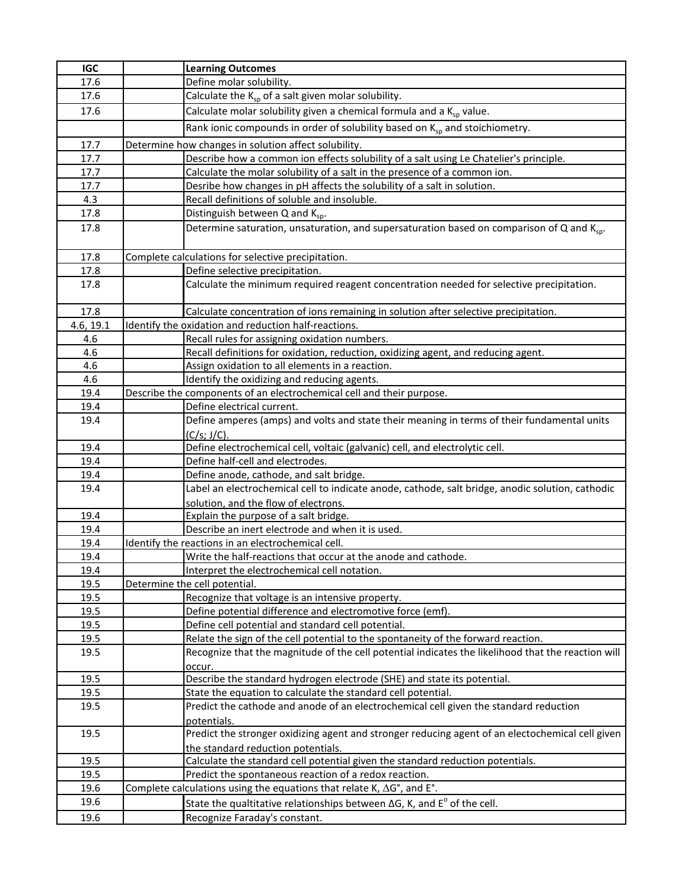| <b>IGC</b>   | <b>Learning Outcomes</b>                                                                                                |
|--------------|-------------------------------------------------------------------------------------------------------------------------|
| 17.6         | Define molar solubility.                                                                                                |
| 17.6         | Calculate the $K_{sp}$ of a salt given molar solubility.                                                                |
| 17.6         | Calculate molar solubility given a chemical formula and a $K_{sp}$ value.                                               |
|              | Rank ionic compounds in order of solubility based on K <sub>sp</sub> and stoichiometry.                                 |
|              |                                                                                                                         |
| 17.7         | Determine how changes in solution affect solubility.                                                                    |
| 17.7         | Describe how a common ion effects solubility of a salt using Le Chatelier's principle.                                  |
| 17.7         | Calculate the molar solubility of a salt in the presence of a common ion.                                               |
| 17.7<br>4.3  | Desribe how changes in pH affects the solubility of a salt in solution.<br>Recall definitions of soluble and insoluble. |
| 17.8         | Distinguish between Q and K <sub>sp</sub> .                                                                             |
|              |                                                                                                                         |
| 17.8         | Determine saturation, unsaturation, and supersaturation based on comparison of Q and K <sub>sp</sub> .                  |
| 17.8         | Complete calculations for selective precipitation.                                                                      |
| 17.8         | Define selective precipitation.                                                                                         |
| 17.8         | Calculate the minimum required reagent concentration needed for selective precipitation.                                |
| 17.8         | Calculate concentration of ions remaining in solution after selective precipitation.                                    |
| 4.6, 19.1    | Identify the oxidation and reduction half-reactions.                                                                    |
| 4.6          | Recall rules for assigning oxidation numbers.                                                                           |
| 4.6          | Recall definitions for oxidation, reduction, oxidizing agent, and reducing agent.                                       |
| 4.6          | Assign oxidation to all elements in a reaction.                                                                         |
| 4.6          | Identify the oxidizing and reducing agents.                                                                             |
| 19.4         | Describe the components of an electrochemical cell and their purpose.                                                   |
| 19.4         | Define electrical current.                                                                                              |
| 19.4         | Define amperes (amps) and volts and state their meaning in terms of their fundamental units                             |
|              | (C/s; J/C).                                                                                                             |
| 19.4         | Define electrochemical cell, voltaic (galvanic) cell, and electrolytic cell.                                            |
| 19.4         | Define half-cell and electrodes.                                                                                        |
| 19.4         | Define anode, cathode, and salt bridge.                                                                                 |
| 19.4         | Label an electrochemical cell to indicate anode, cathode, salt bridge, anodic solution, cathodic                        |
|              | solution, and the flow of electrons.                                                                                    |
| 19.4         | Explain the purpose of a salt bridge.                                                                                   |
| 19.4         | Describe an inert electrode and when it is used.                                                                        |
| 19.4         | Identify the reactions in an electrochemical cell.                                                                      |
| 19.4         | Write the half-reactions that occur at the anode and cathode.                                                           |
| 19.4         | Interpret the electrochemical cell notation.                                                                            |
| 19.5<br>19.5 | Determine the cell potential.<br>Recognize that voltage is an intensive property.                                       |
|              | Define potential difference and electromotive force (emf).                                                              |
| 19.5<br>19.5 | Define cell potential and standard cell potential.                                                                      |
| 19.5         | Relate the sign of the cell potential to the spontaneity of the forward reaction.                                       |
| 19.5         | Recognize that the magnitude of the cell potential indicates the likelihood that the reaction will                      |
|              | occur.                                                                                                                  |
| 19.5         | Describe the standard hydrogen electrode (SHE) and state its potential.                                                 |
| 19.5         | State the equation to calculate the standard cell potential.                                                            |
| 19.5         | Predict the cathode and anode of an electrochemical cell given the standard reduction                                   |
|              | potentials.                                                                                                             |
| 19.5         | Predict the stronger oxidizing agent and stronger reducing agent of an electochemical cell given                        |
|              | the standard reduction potentials.                                                                                      |
| 19.5         | Calculate the standard cell potential given the standard reduction potentials.                                          |
| 19.5         | Predict the spontaneous reaction of a redox reaction.                                                                   |
| 19.6         | Complete calculations using the equations that relate K, $\Delta G^{\circ}$ , and E°.                                   |
| 19.6         | State the qualtitative relationships between $\Delta G$ , K, and $E^{\circ}$ of the cell.                               |
| 19.6         | Recognize Faraday's constant.                                                                                           |
|              |                                                                                                                         |